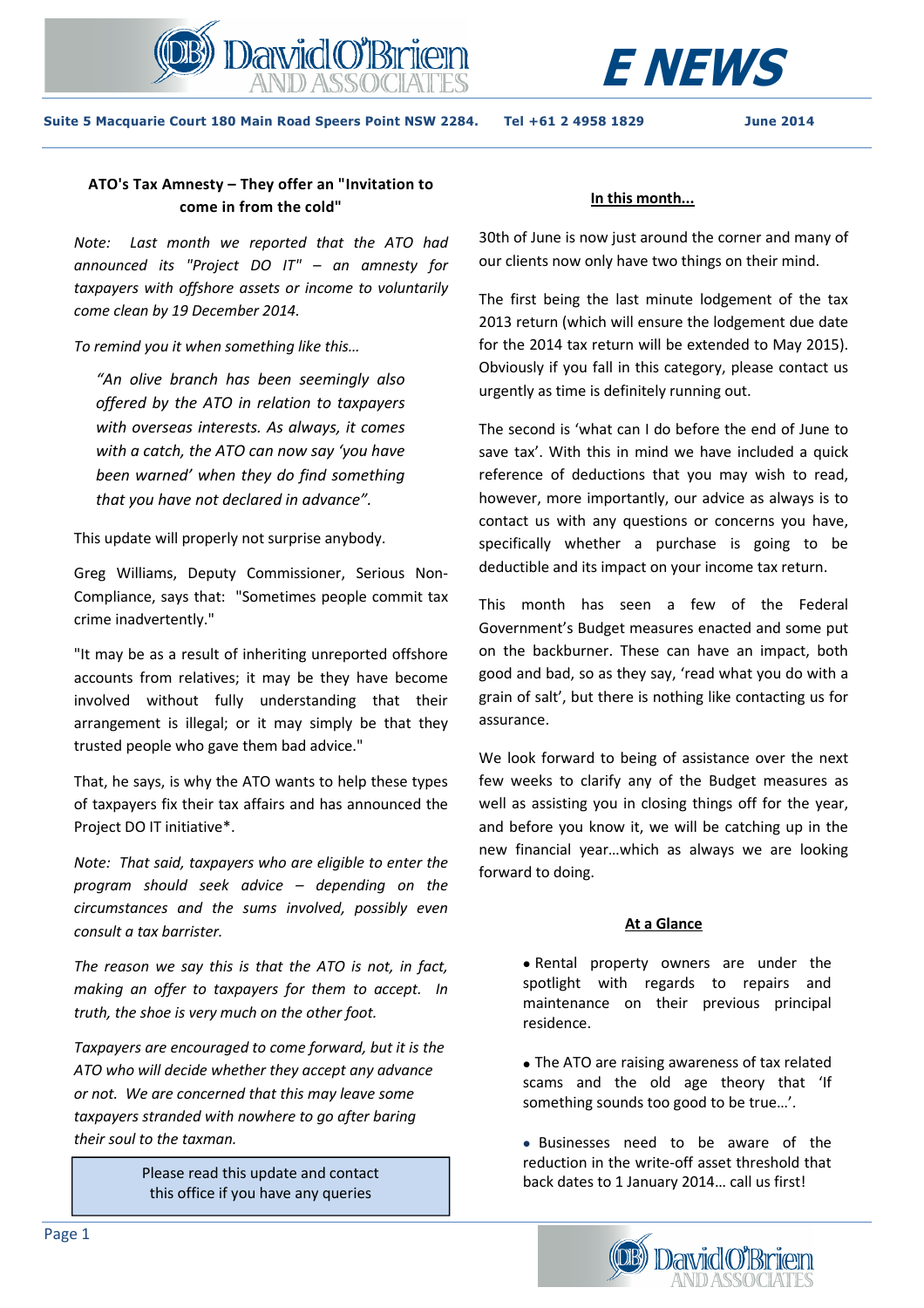



**Suite 5 Macquarie Court 180 Main Road Speers Point NSW 2284. Tel +61 2 4958 1829 June 2014** 

# **ATO's Tax Amnesty – They offer an "Invitation to come in from the cold"**

*Note: Last month we reported that the ATO had announced its "Project DO IT" – an amnesty for taxpayers with offshore assets or income to voluntarily come clean by 19 December 2014.* 

*To remind you it when something like this…*

*"An olive branch has been seemingly also offered by the ATO in relation to taxpayers with overseas interests. As always, it comes with a catch, the ATO can now say 'you have been warned' when they do find something that you have not declared in advance".* 

This update will properly not surprise anybody.

Greg Williams, Deputy Commissioner, Serious Non-Compliance, says that: "Sometimes people commit tax crime inadvertently."

"It may be as a result of inheriting unreported offshore accounts from relatives; it may be they have become involved without fully understanding that their arrangement is illegal; or it may simply be that they trusted people who gave them bad advice."

That, he says, is why the ATO wants to help these types of taxpayers fix their tax affairs and has announced the Project DO IT initiative\*.

*Note: That said, taxpayers who are eligible to enter the program should seek advice – depending on the circumstances and the sums involved, possibly even consult a tax barrister.* 

*The reason we say this is that the ATO is not, in fact, making an offer to taxpayers for them to accept. In truth, the shoe is very much on the other foot.* 

*Taxpayers are encouraged to come forward, but it is the ATO who will decide whether they accept any advance or not. We are concerned that this may leave some taxpayers stranded with nowhere to go after baring their soul to the taxman.* 

this office if you have any queries

#### **In this month...**

30th of June is now just around the corner and many of our clients now only have two things on their mind.

The first being the last minute lodgement of the tax 2013 return (which will ensure the lodgement due date for the 2014 tax return will be extended to May 2015). Obviously if you fall in this category, please contact us urgently as time is definitely running out.

The second is 'what can I do before the end of June to save tax'. With this in mind we have included a quick reference of deductions that you may wish to read, however, more importantly, our advice as always is to contact us with any questions or concerns you have, specifically whether a purchase is going to be deductible and its impact on your income tax return.

This month has seen a few of the Federal Government's Budget measures enacted and some put on the backburner. These can have an impact, both good and bad, so as they say, 'read what you do with a grain of salt', but there is nothing like contacting us for assurance.

We look forward to being of assistance over the next few weeks to clarify any of the Budget measures as well as assisting you in closing things off for the year, and before you know it, we will be catching up in the new financial year…which as always we are looking forward to doing.

# **At a Glance**

• Rental property owners are under the spotlight with regards to repairs and maintenance on their previous principal residence.

• The ATO are raising awareness of tax related scams and the old age theory that 'If something sounds too good to be true…'.

• Businesses need to be aware of the reduction in the write-off asset threshold that back dates to 1 January 2014… call us first! Please read this update and contact

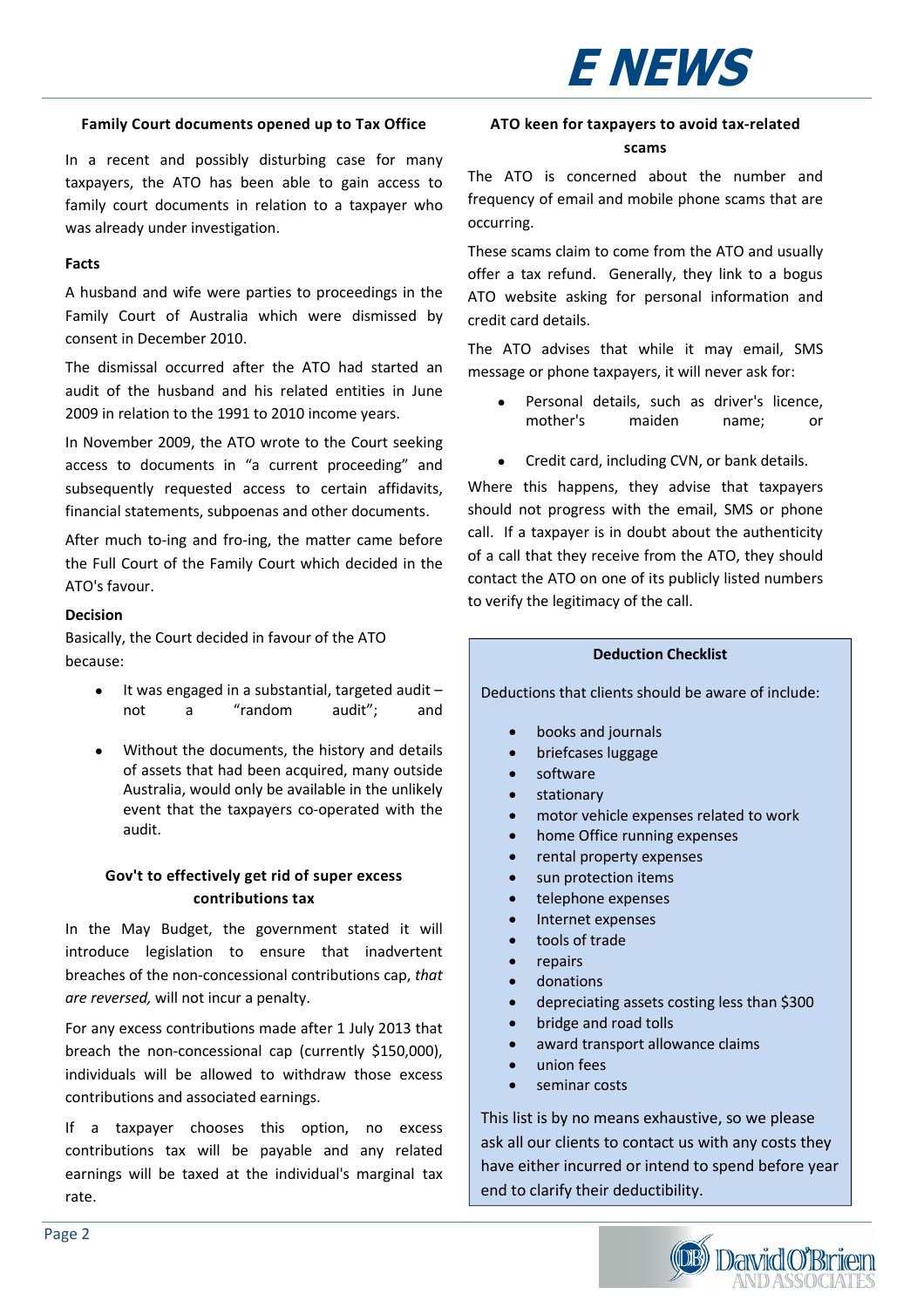# **E NEWS**

#### **Family Court documents opened up to Tax Office**

In a recent and possibly disturbing case for many taxpayers, the ATO has been able to gain access to family court documents in relation to a taxpayer who was already under investigation.

#### **Facts**

A husband and wife were parties to proceedings in the Family Court of Australia which were dismissed by consent in December 2010.

The dismissal occurred after the ATO had started an audit of the husband and his related entities in June 2009 in relation to the 1991 to 2010 income years.

In November 2009, the ATO wrote to the Court seeking access to documents in "a current proceeding" and subsequently requested access to certain affidavits, financial statements, subpoenas and other documents.

After much to-ing and fro-ing, the matter came before the Full Court of the Family Court which decided in the ATO's favour.

#### **Decision**

Basically, the Court decided in favour of the ATO because:

- It was engaged in a substantial, targeted audit not a "random audit"; and
- Without the documents, the history and details of assets that had been acquired, many outside Australia, would only be available in the unlikely event that the taxpayers co-operated with the audit.

## **Gov't to effectively get rid of super excess contributions tax**

In the May Budget, the government stated it will introduce legislation to ensure that inadvertent breaches of the non-concessional contributions cap, *that are reversed,* will not incur a penalty.

For any excess contributions made after 1 July 2013 that breach the non-concessional cap (currently \$150,000), individuals will be allowed to withdraw those excess contributions and associated earnings.

If a taxpayer chooses this option, no excess contributions tax will be payable and any related earnings will be taxed at the individual's marginal tax rate.

## **ATO keen for taxpayers to avoid tax-related scams**

The ATO is concerned about the number and frequency of email and mobile phone scams that are occurring.

These scams claim to come from the ATO and usually offer a tax refund. Generally, they link to a bogus ATO website asking for personal information and credit card details.

The ATO advises that while it may email, SMS message or phone taxpayers, it will never ask for:

- Personal details, such as driver's licence, mother's maiden name; or
- Credit card, including CVN, or bank details.

Where this happens, they advise that taxpayers should not progress with the email, SMS or phone call. If a taxpayer is in doubt about the authenticity of a call that they receive from the ATO, they should contact the ATO on one of its publicly listed numbers to verify the legitimacy of the call.

#### **Deduction Checklist**

Deductions that clients should be aware of include:

- books and journals
- briefcases luggage
- software
- stationary
- motor vehicle expenses related to work
- home Office running expenses
- rental property expenses
- sun protection items
- telephone expenses
- Internet expenses
- tools of trade
- repairs
- donations
- depreciating assets costing less than \$300
- bridge and road tolls
- award transport allowance claims
- union fees
- seminar costs

This list is by no means exhaustive, so we please ask all our clients to contact us with any costs they have either incurred or intend to spend before year end to clarify their deductibility.